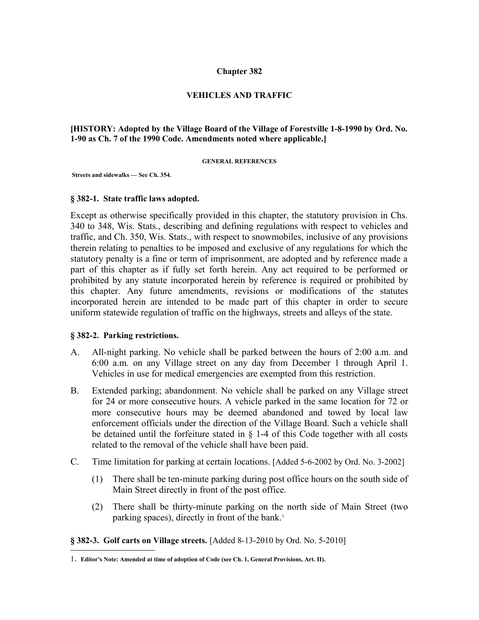### **Chapter 382**

### **VEHICLES AND TRAFFIC**

### **[HISTORY: Adopted by the Village Board of the Village of Forestville 1-8-1990 by Ord. No. 1-90 as Ch. 7 of the 1990 Code. Amendments noted where applicable.]**

#### **GENERAL REFERENCES**

 **Streets and sidewalks — See Ch. 354.**

#### **§ 382-1. State traffic laws adopted.**

Except as otherwise specifically provided in this chapter, the statutory provision in Chs. 340 to 348, Wis. Stats., describing and defining regulations with respect to vehicles and traffic, and Ch. 350, Wis. Stats., with respect to snowmobiles, inclusive of any provisions therein relating to penalties to be imposed and exclusive of any regulations for which the statutory penalty is a fine or term of imprisonment, are adopted and by reference made a part of this chapter as if fully set forth herein. Any act required to be performed or prohibited by any statute incorporated herein by reference is required or prohibited by this chapter. Any future amendments, revisions or modifications of the statutes incorporated herein are intended to be made part of this chapter in order to secure uniform statewide regulation of traffic on the highways, streets and alleys of the state.

#### **§ 382-2. Parking restrictions.**

- A. All-night parking. No vehicle shall be parked between the hours of 2:00 a.m. and 6:00 a.m. on any Village street on any day from December 1 through April 1. Vehicles in use for medical emergencies are exempted from this restriction.
- B. Extended parking; abandonment. No vehicle shall be parked on any Village street for 24 or more consecutive hours. A vehicle parked in the same location for 72 or more consecutive hours may be deemed abandoned and towed by local law enforcement officials under the direction of the Village Board. Such a vehicle shall be detained until the forfeiture stated in § 1-4 of this Code together with all costs related to the removal of the vehicle shall have been paid.
- C. Time limitation for parking at certain locations. [Added 5-6-2002 by Ord. No. 3-2002]
	- (1) There shall be ten-minute parking during post office hours on the south side of Main Street directly in front of the post office.
	- (2) There shall be thirty-minute parking on the north side of Main Street (two parking spaces), directly in front of the bank.<sup>[1](#page-0-0)</sup>

**§ 382-3. Golf carts on Village streets.** [Added 8-13-2010 by Ord. No. 5-2010]

<span id="page-0-0"></span><sup>1</sup>. **Editor's Note: Amended at time of adoption of Code (see Ch. 1, General Provisions, Art. II).**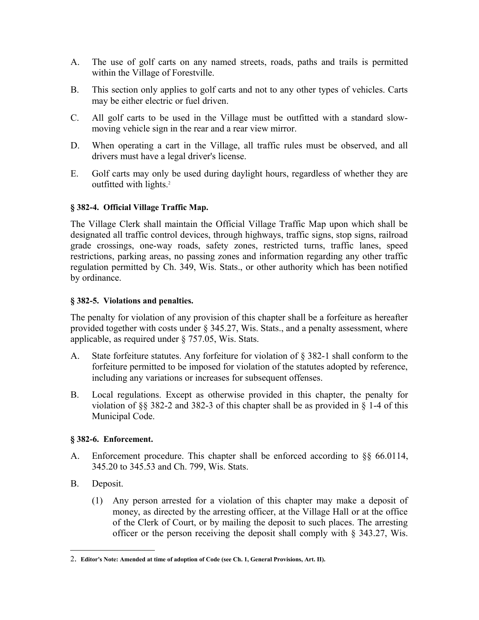- A. The use of golf carts on any named streets, roads, paths and trails is permitted within the Village of Forestville.
- B. This section only applies to golf carts and not to any other types of vehicles. Carts may be either electric or fuel driven.
- C. All golf carts to be used in the Village must be outfitted with a standard slowmoving vehicle sign in the rear and a rear view mirror.
- D. When operating a cart in the Village, all traffic rules must be observed, and all drivers must have a legal driver's license.
- E. Golf carts may only be used during daylight hours, regardless of whether they are outfitted with lights.<sup>[2](#page-1-0)</sup>

# **§ 382-4. Official Village Traffic Map.**

The Village Clerk shall maintain the Official Village Traffic Map upon which shall be designated all traffic control devices, through highways, traffic signs, stop signs, railroad grade crossings, one-way roads, safety zones, restricted turns, traffic lanes, speed restrictions, parking areas, no passing zones and information regarding any other traffic regulation permitted by Ch. 349, Wis. Stats., or other authority which has been notified by ordinance.

## **§ 382-5. Violations and penalties.**

The penalty for violation of any provision of this chapter shall be a forfeiture as hereafter provided together with costs under § 345.27, Wis. Stats., and a penalty assessment, where applicable, as required under § 757.05, Wis. Stats.

- A. State forfeiture statutes. Any forfeiture for violation of § 382-1 shall conform to the forfeiture permitted to be imposed for violation of the statutes adopted by reference, including any variations or increases for subsequent offenses.
- B. Local regulations. Except as otherwise provided in this chapter, the penalty for violation of §§ 382-2 and 382-3 of this chapter shall be as provided in § 1-4 of this Municipal Code.

# **§ 382-6. Enforcement.**

- A. Enforcement procedure. This chapter shall be enforced according to §§ 66.0114, 345.20 to 345.53 and Ch. 799, Wis. Stats.
- B. Deposit.
	- (1) Any person arrested for a violation of this chapter may make a deposit of money, as directed by the arresting officer, at the Village Hall or at the office of the Clerk of Court, or by mailing the deposit to such places. The arresting officer or the person receiving the deposit shall comply with § 343.27, Wis.

<span id="page-1-0"></span><sup>2</sup>. **Editor's Note: Amended at time of adoption of Code (see Ch. 1, General Provisions, Art. II).**